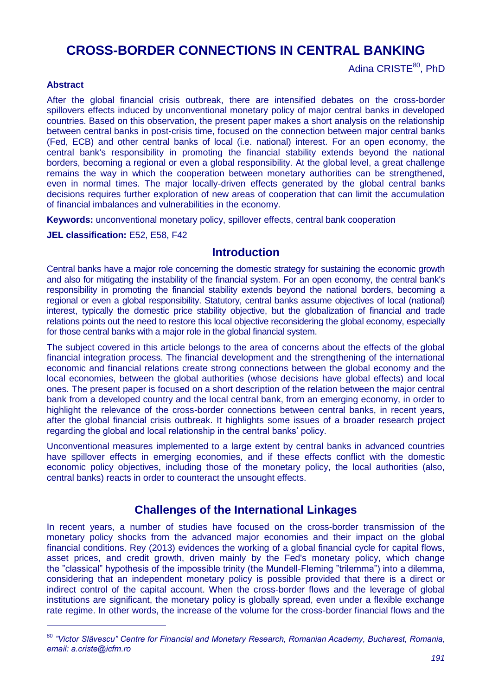# **CROSS-BORDER CONNECTIONS IN CENTRAL BANKING**

Adina CRISTE<sup>80</sup>, PhD

#### **Abstract**

-

After the global financial crisis outbreak, there are intensified debates on the cross-border spillovers effects induced by unconventional monetary policy of major central banks in developed countries. Based on this observation, the present paper makes a short analysis on the relationship between central banks in post-crisis time, focused on the connection between major central banks (Fed, ECB) and other central banks of local (i.e. national) interest. For an open economy, the central bank's responsibility in promoting the financial stability extends beyond the national borders, becoming a regional or even a global responsibility. At the global level, a great challenge remains the way in which the cooperation between monetary authorities can be strengthened, even in normal times. The major locally-driven effects generated by the global central banks decisions requires further exploration of new areas of cooperation that can limit the accumulation of financial imbalances and vulnerabilities in the economy.

**Keywords:** unconventional monetary policy, spillover effects, central bank cooperation

**JEL classification:** E52, E58, F42

## **Introduction**

Central banks have a major role concerning the domestic strategy for sustaining the economic growth and also for mitigating the instability of the financial system. For an open economy, the central bank's responsibility in promoting the financial stability extends beyond the national borders, becoming a regional or even a global responsibility. Statutory, central banks assume objectives of local (national) interest, typically the domestic price stability objective, but the globalization of financial and trade relations points out the need to restore this local objective reconsidering the global economy, especially for those central banks with a major role in the global financial system.

The subject covered in this article belongs to the area of concerns about the effects of the global financial integration process. The financial development and the strengthening of the international economic and financial relations create strong connections between the global economy and the local economies, between the global authorities (whose decisions have global effects) and local ones. The present paper is focused on a short description of the relation between the major central bank from a developed country and the local central bank, from an emerging economy, in order to highlight the relevance of the cross-border connections between central banks, in recent years, after the global financial crisis outbreak. It highlights some issues of a broader research project regarding the global and local relationship in the central banks' policy.

Unconventional measures implemented to a large extent by central banks in advanced countries have spillover effects in emerging economies, and if these effects conflict with the domestic economic policy objectives, including those of the monetary policy, the local authorities (also, central banks) reacts in order to counteract the unsought effects.

# **Challenges of the International Linkages**

In recent years, a number of studies have focused on the cross-border transmission of the monetary policy shocks from the advanced major economies and their impact on the global financial conditions. Rey (2013) evidences the working of a global financial cycle for capital flows, asset prices, and credit growth, driven mainly by the Fed's monetary policy, which change the "classical" hypothesis of the impossible trinity (the Mundell-Fleming "trilemma") into a dilemma, considering that an independent monetary policy is possible provided that there is a direct or indirect control of the capital account. When the cross-border flows and the leverage of global institutions are significant, the monetary policy is globally spread, even under a flexible exchange rate regime. In other words, the increase of the volume for the cross-border financial flows and the

<sup>80</sup> *"Victor Slăvescu" Centre for Financial and Monetary Research, Romanian Academy, Bucharest, Romania, email: a.criste@icfm.ro*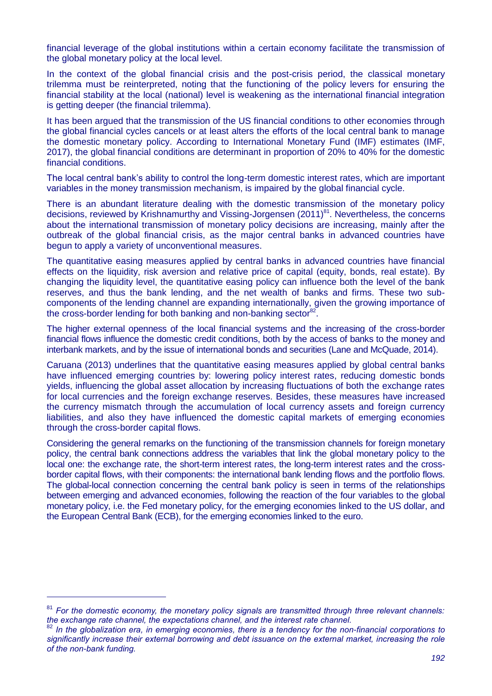financial leverage of the global institutions within a certain economy facilitate the transmission of the global monetary policy at the local level.

In the context of the global financial crisis and the post-crisis period, the classical monetary trilemma must be reinterpreted, noting that the functioning of the policy levers for ensuring the financial stability at the local (national) level is weakening as the international financial integration is getting deeper (the financial trilemma).

It has been argued that the transmission of the US financial conditions to other economies through the global financial cycles cancels or at least alters the efforts of the local central bank to manage the domestic monetary policy. According to International Monetary Fund (IMF) estimates (IMF, 2017), the global financial conditions are determinant in proportion of 20% to 40% for the domestic financial conditions.

The local central bank's ability to control the long-term domestic interest rates, which are important variables in the money transmission mechanism, is impaired by the global financial cycle.

There is an abundant literature dealing with the domestic transmission of the monetary policy decisions, reviewed by Krishnamurthy and Vissing-Jorgensen (2011)<sup>81</sup>. Nevertheless, the concerns about the international transmission of monetary policy decisions are increasing, mainly after the outbreak of the global financial crisis, as the major central banks in advanced countries have begun to apply a variety of unconventional measures.

The quantitative easing measures applied by central banks in advanced countries have financial effects on the liquidity, risk aversion and relative price of capital (equity, bonds, real estate). By changing the liquidity level, the quantitative easing policy can influence both the level of the bank reserves, and thus the bank lending, and the net wealth of banks and firms. These two subcomponents of the lending channel are expanding internationally, given the growing importance of the cross-border lending for both banking and non-banking sector $^{82}$ .

The higher external openness of the local financial systems and the increasing of the cross-border financial flows influence the domestic credit conditions, both by the access of banks to the money and interbank markets, and by the issue of international bonds and securities (Lane and McQuade, 2014).

Caruana (2013) underlines that the quantitative easing measures applied by global central banks have influenced emerging countries by: lowering policy interest rates, reducing domestic bonds yields, influencing the global asset allocation by increasing fluctuations of both the exchange rates for local currencies and the foreign exchange reserves. Besides, these measures have increased the currency mismatch through the accumulation of local currency assets and foreign currency liabilities, and also they have influenced the domestic capital markets of emerging economies through the cross-border capital flows.

Considering the general remarks on the functioning of the transmission channels for foreign monetary policy, the central bank connections address the variables that link the global monetary policy to the local one: the exchange rate, the short-term interest rates, the long-term interest rates and the crossborder capital flows, with their components: the international bank lending flows and the portfolio flows. The global-local connection concerning the central bank policy is seen in terms of the relationships between emerging and advanced economies, following the reaction of the four variables to the global monetary policy, i.e. the Fed monetary policy, for the emerging economies linked to the US dollar, and the European Central Bank (ECB), for the emerging economies linked to the euro.

-

<sup>81</sup> *For the domestic economy, the monetary policy signals are transmitted through three relevant channels: the exchange rate channel, the expectations channel, and the interest rate channel.* 

<sup>82</sup> *In the globalization era, in emerging economies, there is a tendency for the non-financial corporations to significantly increase their external borrowing and debt issuance on the external market, increasing the role of the non-bank funding.*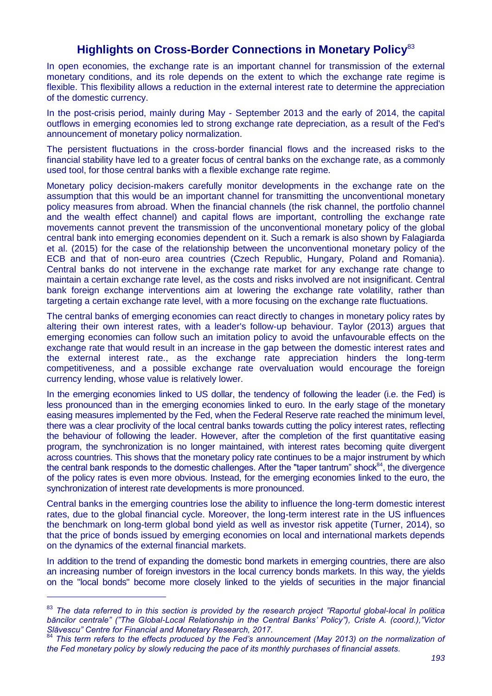# **Highlights on Cross-Border Connections in Monetary Policy**<sup>83</sup>

In open economies, the exchange rate is an important channel for transmission of the external monetary conditions, and its role depends on the extent to which the exchange rate regime is flexible. This flexibility allows a reduction in the external interest rate to determine the appreciation of the domestic currency.

In the post-crisis period, mainly during May - September 2013 and the early of 2014, the capital outflows in emerging economies led to strong exchange rate depreciation, as a result of the Fed's announcement of monetary policy normalization.

The persistent fluctuations in the cross-border financial flows and the increased risks to the financial stability have led to a greater focus of central banks on the exchange rate, as a commonly used tool, for those central banks with a flexible exchange rate regime.

Monetary policy decision-makers carefully monitor developments in the exchange rate on the assumption that this would be an important channel for transmitting the unconventional monetary policy measures from abroad. When the financial channels (the risk channel, the portfolio channel and the wealth effect channel) and capital flows are important, controlling the exchange rate movements cannot prevent the transmission of the unconventional monetary policy of the global central bank into emerging economies dependent on it. Such a remark is also shown by Falagiarda et al. (2015) for the case of the relationship between the unconventional monetary policy of the ECB and that of non-euro area countries (Czech Republic, Hungary, Poland and Romania). Central banks do not intervene in the exchange rate market for any exchange rate change to maintain a certain exchange rate level, as the costs and risks involved are not insignificant. Central bank foreign exchange interventions aim at lowering the exchange rate volatility, rather than targeting a certain exchange rate level, with a more focusing on the exchange rate fluctuations.

The central banks of emerging economies can react directly to changes in monetary policy rates by altering their own interest rates, with a leader's follow-up behaviour. Taylor (2013) argues that emerging economies can follow such an imitation policy to avoid the unfavourable effects on the exchange rate that would result in an increase in the gap between the domestic interest rates and the external interest rate., as the exchange rate appreciation hinders the long-term competitiveness, and a possible exchange rate overvaluation would encourage the foreign currency lending, whose value is relatively lower.

In the emerging economies linked to US dollar, the tendency of following the leader (i.e. the Fed) is less pronounced than in the emerging economies linked to euro. In the early stage of the monetary easing measures implemented by the Fed, when the Federal Reserve rate reached the minimum level, there was a clear proclivity of the local central banks towards cutting the policy interest rates, reflecting the behaviour of following the leader. However, after the completion of the first quantitative easing program, the synchronization is no longer maintained, with interest rates becoming quite divergent across countries. This shows that the monetary policy rate continues to be a major instrument by which the central bank responds to the domestic challenges. After the "taper tantrum" shock $84$ , the divergence of the policy rates is even more obvious. Instead, for the emerging economies linked to the euro, the synchronization of interest rate developments is more pronounced.

Central banks in the emerging countries lose the ability to influence the long-term domestic interest rates, due to the global financial cycle. Moreover, the long-term interest rate in the US influences the benchmark on long-term global bond yield as well as investor risk appetite (Turner, 2014), so that the price of bonds issued by emerging economies on local and international markets depends on the dynamics of the external financial markets.

In addition to the trend of expanding the domestic bond markets in emerging countries, there are also an increasing number of foreign investors in the local currency bonds markets. In this way, the yields on the "local bonds" become more closely linked to the yields of securities in the major financial

-

<sup>&</sup>lt;sup>83</sup> The data referred to in this section is provided by the research project "Raportul global-local în politica *băncilor centrale" ("The Global-Local Relationship in the Central Banks" Policy"), Criste A. (coord.),"Victor Slăvescu" Centre for Financial and Monetary Research, 2017.* 

<sup>&</sup>lt;sup>84</sup> This term refers to the effects produced by the Fed's announcement (May 2013) on the normalization of *the Fed monetary policy by slowly reducing the pace of its monthly purchases of financial assets.*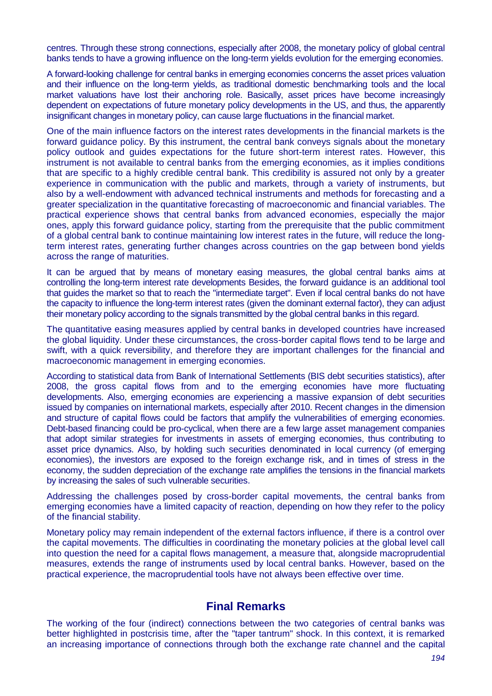centres. Through these strong connections, especially after 2008, the monetary policy of global central banks tends to have a growing influence on the long-term yields evolution for the emerging economies.

A forward-looking challenge for central banks in emerging economies concerns the asset prices valuation and their influence on the long-term yields, as traditional domestic benchmarking tools and the local market valuations have lost their anchoring role. Basically, asset prices have become increasingly dependent on expectations of future monetary policy developments in the US, and thus, the apparently insignificant changes in monetary policy, can cause large fluctuations in the financial market.

One of the main influence factors on the interest rates developments in the financial markets is the forward guidance policy. By this instrument, the central bank conveys signals about the monetary policy outlook and guides expectations for the future short-term interest rates. However, this instrument is not available to central banks from the emerging economies, as it implies conditions that are specific to a highly credible central bank. This credibility is assured not only by a greater experience in communication with the public and markets, through a variety of instruments, but also by a well-endowment with advanced technical instruments and methods for forecasting and a greater specialization in the quantitative forecasting of macroeconomic and financial variables. The practical experience shows that central banks from advanced economies, especially the major ones, apply this forward guidance policy, starting from the prerequisite that the public commitment of a global central bank to continue maintaining low interest rates in the future, will reduce the longterm interest rates, generating further changes across countries on the gap between bond yields across the range of maturities.

It can be argued that by means of monetary easing measures, the global central banks aims at controlling the long-term interest rate developments Besides, the forward guidance is an additional tool that guides the market so that to reach the "intermediate target". Even if local central banks do not have the capacity to influence the long-term interest rates (given the dominant external factor), they can adjust their monetary policy according to the signals transmitted by the global central banks in this regard.

The quantitative easing measures applied by central banks in developed countries have increased the global liquidity. Under these circumstances, the cross-border capital flows tend to be large and swift, with a quick reversibility, and therefore they are important challenges for the financial and macroeconomic management in emerging economies.

According to statistical data from Bank of International Settlements (BIS debt securities statistics), after 2008, the gross capital flows from and to the emerging economies have more fluctuating developments. Also, emerging economies are experiencing a massive expansion of debt securities issued by companies on international markets, especially after 2010. Recent changes in the dimension and structure of capital flows could be factors that amplify the vulnerabilities of emerging economies. Debt-based financing could be pro-cyclical, when there are a few large asset management companies that adopt similar strategies for investments in assets of emerging economies, thus contributing to asset price dynamics. Also, by holding such securities denominated in local currency (of emerging economies), the investors are exposed to the foreign exchange risk, and in times of stress in the economy, the sudden depreciation of the exchange rate amplifies the tensions in the financial markets by increasing the sales of such vulnerable securities.

Addressing the challenges posed by cross-border capital movements, the central banks from emerging economies have a limited capacity of reaction, depending on how they refer to the policy of the financial stability.

Monetary policy may remain independent of the external factors influence, if there is a control over the capital movements. The difficulties in coordinating the monetary policies at the global level call into question the need for a capital flows management, a measure that, alongside macroprudential measures, extends the range of instruments used by local central banks. However, based on the practical experience, the macroprudential tools have not always been effective over time.

#### **Final Remarks**

The working of the four (indirect) connections between the two categories of central banks was better highlighted in postcrisis time, after the "taper tantrum" shock. In this context, it is remarked an increasing importance of connections through both the exchange rate channel and the capital